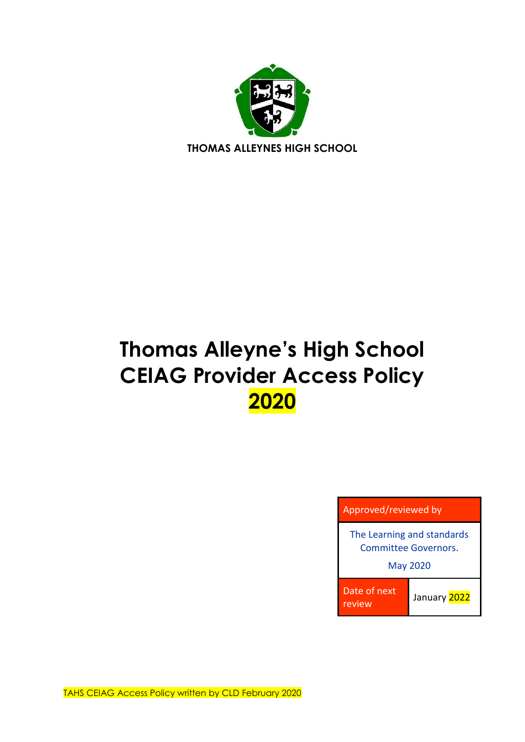

# **Thomas Alleyne's High School CEIAG Provider Access Policy 2020**



TAHS CEIAG Access Policy written by CLD February 2020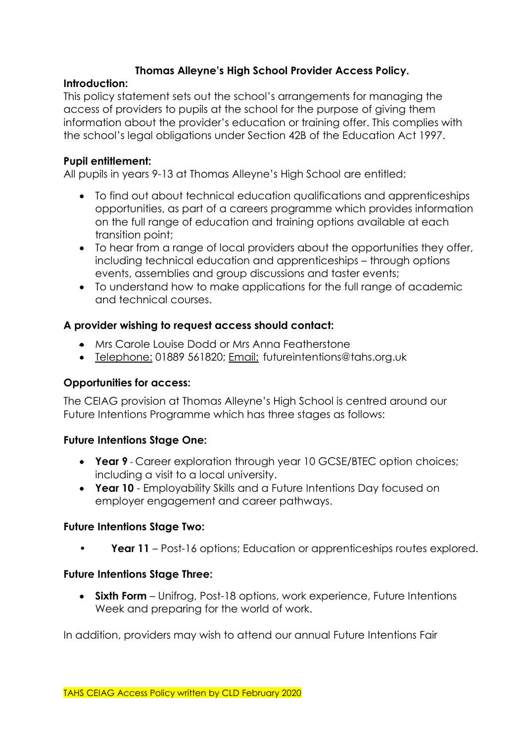# **Thomas Alleyne's High School Provider Access Policy.**

#### **Introduction:**

This policy statement sets out the school's arrangements for managing the access of providers to pupils at the school for the purpose of giving them information about the provider's education or training offer. This complies with the school's legal obligations under Section 42B of the Education Act 1997.

# **Pupil entitlement:**

All pupils in years 9-13 at Thomas Alleyne's High School are entitled:

- To find out about technical education qualifications and apprenticeships opportunities, as part of a careers programme which provides information on the full range of education and training options available at each transition point;
- To hear from a range of local providers about the opportunities they offer, including technical education and apprenticeships – through options events, assemblies and group discussions and taster events;
- To understand how to make applications for the full range of academic and technical courses.

# **A provider wishing to request access should contact:**

- **•** Mrs Carole Louise Dodd or Mrs Anna Featherstone
- Telephone: 01889 561820; Email: futureintentions@tahs.org.uk

#### **Opportunities for access:**

The CEIAG provision at Thomas Alleyne's High School is centred around our Future Intentions Programme which has three stages as follows:

#### **Future Intentions Stage One:**

- **Year 9** Career exploration through year 10 GCSE/BTEC option choices; including a visit to a local university.
- **Year 10** Employability Skills and a Future Intentions Day focused on employer engagement and career pathways.

#### **Future Intentions Stage Two:**

• **Year 11** – Post-16 options; Education or apprenticeships routes explored.

#### **Future Intentions Stage Three:**

**Sixth Form** – Unifrog, Post-18 options, work experience, Future Intentions Week and preparing for the world of work.

In addition, providers may wish to attend our annual Future Intentions Fair